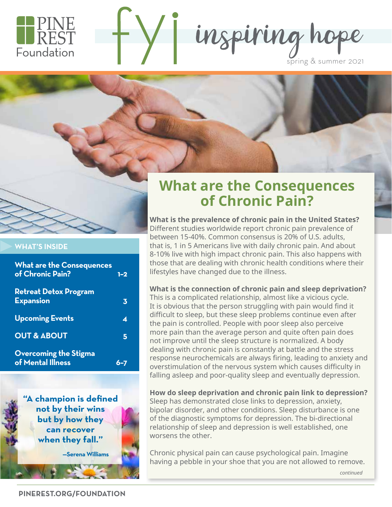

inspiring hope spring & summer 2021





### **WHAT'S INSIDE**

| <b>What are the Consequences</b><br>of Chronic Pain? | $1 - 2$ |
|------------------------------------------------------|---------|
| <b>Retreat Detox Program</b><br><b>Expansion</b>     | 3       |
| <b>Upcoming Events</b>                               | ◢       |
| <b>OUT &amp; ABOUT</b>                               | 5       |
| <b>Overcoming the Stigma</b><br>of Mental Illness    |         |

**"A champion is defined not by their wins but by how they can recover when they fall."**

**—Serena Williams**

# **What are the Consequences of Chronic Pain?**

**What is the prevalence of chronic pain in the United States?**  Different studies worldwide report chronic pain prevalence of between 15-40%. Common consensus is 20% of U.S. adults, that is, 1 in 5 Americans live with daily chronic pain. And about 8-10% live with high impact chronic pain. This also happens with those that are dealing with chronic health conditions where their lifestyles have changed due to the illness.

#### **What is the connection of chronic pain and sleep deprivation?**

This is a complicated relationship, almost like a vicious cycle. It is obvious that the person struggling with pain would find it difficult to sleep, but these sleep problems continue even after the pain is controlled. People with poor sleep also perceive more pain than the average person and quite often pain does not improve until the sleep structure is normalized. A body dealing with chronic pain is constantly at battle and the stress response neurochemicals are always firing, leading to anxiety and overstimulation of the nervous system which causes difficulty in falling asleep and poor-quality sleep and eventually depression.

**How do sleep deprivation and chronic pain link to depression?** Sleep has demonstrated close links to depression, anxiety, bipolar disorder, and other conditions. Sleep disturbance is one of the diagnostic symptoms for depression. The bi-directional relationship of sleep and depression is well established, one worsens the other.

Chronic physical pain can cause psychological pain. Imagine having a pebble in your shoe that you are not allowed to remove.

*continued*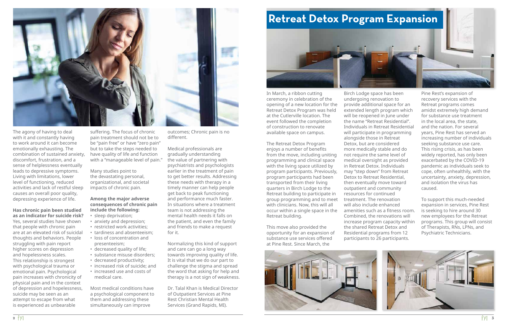In March, a ribbon cutting ceremony in celebration of the opening of a new location for the Retreat Detox Program was held at the Cutlerville location. The event followed the completion of construction to renovate available space on campus.

The Retreat Detox Program enjoys a number of benefits from the move, including uniting programming and clinical space with the living space utilized by program participants. Previously, program participants had been transported from their living quarters in Birch Lodge to the Retreat building to participate in group programming and to meet with clinicians. Now, this will all occur within a single space in the Retreat building.

This move also provided the opportunity for an expansion of substance use services offered at Pine Rest. Since March, the





Birch Lodge space has been provide additional space for an extended length program which will be reopened in June under the name "Retreat Residential". Individuals in Retreat Residential will participate in programming more medically stable and do not require the same level of medical oversight as provided in Retreat Detox. Individuals may "step down" from Retreat Detox to Retreat Residential, then eventually move toward amenities such as a fitness room. Combined, the renovations will increase program capacity within the shared Retreat Detox and Residential programs from 12 participants to 26 participants.

Pine Rest's expansion of recovery services with the Retreat programs comes amidst extremely high demand for substance use treatment in the local area, the state, and the nation. For several years, Pine Rest has served an increasing number of individuals seeking substance use care. This rising crisis, as has been widely reported, has only been exacerbated by the COVID-19 pandemic as individuals seek to cope, often unhealthily, with the uncertainty, anxiety, depression, and isolation the virus has caused.

To support this much-needed expansion in services, Pine Rest is seeking to hire around 30 new employees for the Retreat programs. This group will consist of Therapists, RNs, LPNs, and Psychiatric Technicians.





The agony of having to deal with it and constantly having to work around it can become emotionally exhausting. The combination of sustained anxiety, discomfort, frustration, and a sense of helplessness eventually leads to depressive symptoms. Living with limitations, lower level of functioning, reduced activities and lack of restful sleep causes an overall poor quality, depressing experience of life.

**Has chronic pain been studied as an indicator for suicide risk?** Yes, several studies have shown that people with chronic pain are at an elevated risk of suicidal thoughts and behaviors. People struggling with pain report higher scores on depression and hopelessness scales. This relationship is strongest with psychological trauma or emotional pain. Psychological pain increases with chronicity of physical pain and in the context of depression and hopelessness, suicide may be seen as an attempt to escape from what is experienced as unbearable

suffering. The focus of chronic pain treatment should not be to be "pain free" or have "zero pain" but to take the steps needed to have quality of life and function with a "manageable level of pain."

Many studies point to the devastating personal, organizational, and societal impacts of chronic pain.

### **Among the major adverse consequences of chronic pain include the following:**

- sleep deprivation;
- anxiety and depression;
- restricted work activities;
- tardiness and absenteeism;
- loss of concentration and
- presenteeism;
- decreased quality of life;
- substance misuse disorders;
- decreased productivity;
- increased risk of suicide; and
- increased use and costs of medical care.

Most medical conditions have a psychological component to them and addressing these simultaneously can improve

outcomes; Chronic pain is no different.

Medical professionals are gradually understanding the value of partnering with psychiatrists and psychologists earlier in the treatment of pain to get better results. Addressing these needs with therapy in a timely manner can help people get back to peak functioning and performance much faster. In situations where a treatment team is not addressing the mental health needs it falls on the patient, and even the family and friends to make a request for it.

Normalizing this kind of support and care can go a long way towards improving quality of life. It is vital that we do our part to challenge the stigma and spread the word that asking for help and therapy is a not sign of weakness.

Dr. Talal Khan is Medical Director of Outpatient Services at Pine Rest Christian Mental Health Services (Grand Rapids, MI).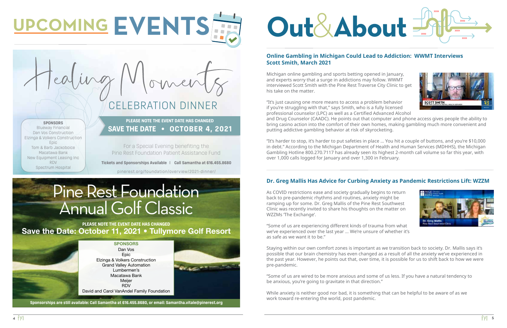# CELEBRATION DINNER

**Tickets and Sponsorships Available** | **Call Samantha at 616.455.8680**

pinerest.org/foundation/overview/2021-dinner/

## **Online Gambling in Michigan Could Lead to Addiction: WWMT Interviews Scott Smith, March 2021**

Michigan online gambling and sports betting opened in January, and experts worry that a surge in addictions may follow. WWMT interviewed Scott Smith with the Pine Rest Traverse City Clinic to get his take on the matter.

"It's just causing one more means to access a problem behavior if you're struggling with that," says Smith, who is a fully licensed professional counselor (LPC) as well as a Certified Advanced Alcohol and Drug Counselor (CAADC). He points out that computer and phone access gives people the ability to bring casino action into the comfort of their own homes, making gambling much more convenient and putting addictive gambling behavior at risk of skyrocketing.

"It's harder to stop, it's harder to put safeties in place … You hit a couple of buttons, and you're \$10,000 in debt." According to the Michigan Department of Health and Human Services (MDHHS), the Michigan Gambling Hotline 800.270.7117 has already seen its highest 2-month call volume so far this year, with over 1,000 calls logged for January and over 1,300 in February.

## **Dr. Greg Mallis Has Advice for Curbing Anxiety as Pandemic Restrictions Lift: WZZM**

As COVID restrictions ease and society gradually begins to return back to pre-pandemic rhythms and routines, anxiety might be ramping up for some. Dr. Greg Mallis of the Pine Rest Southwest Clinic was recently invited to share his thoughts on the matter on WZZMs 'The Exchange'.

Save the Date: October 11, 2021 . Tullymore Golf Resort **PLEASE NOTE THE EVENT DATE HAS CHANGED**

"Some of us are experiencing different kinds of trauma from what we've experienced over the last year … We're unsure of whether it's as safe as we want it to be."

Staying within our own comfort zones is important as we transition back to society. Dr. Mallis says it's possible that our brain chemistry has even changed as a result of all the anxiety we've experienced in the past year. However, he points out that, over time, it is possible for us to shift back to how we were pre-pandemic.

"Some of us are wired to be more anxious and some of us less. If you have a natural tendency to be anxious, you're going to gravitate in that direction."

While anxiety is neither good nor bad, it is something that can be helpful to be aware of as we work toward re-entering the world, post pandemic.







# **Out**& **About**

# **UPCOMING EVENTS**

# Pine Rest Foundation Annual Golf Classic

For a Special Evening benefiting the Pine Rest Foundation Patient Assistance Fund

**SAVE THE DATE • OCTOBER 4, 2021 PLEASE NOTE THE EVENT DATE HAS CHANGED**



#### **SPONSORS** Blueway Financial

Dan Vos Construction Elzinga & Volkers Construction Epic Tom & Barb Jackoboice Macatawa Bank New Equipment Leasing Inc RDV Spectrum Hospital

**Sponsorships are still available: Call Samantha at 616.455.8680, or email: Samantha.vitale@pinerest.org**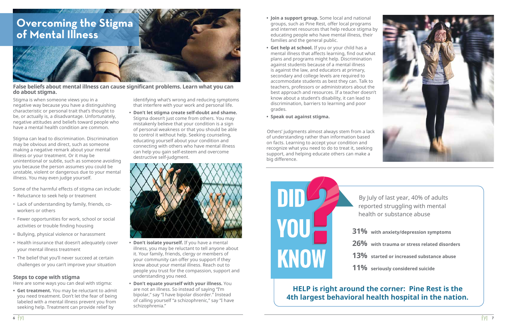# **Overcoming the Stigma of Mental Illness**

Stigma is when someone views you in a negative way because you have a distinguishing characteristic or personal trait that's thought to be, or actually is, a disadvantage. Unfortunately, negative attitudes and beliefs toward people who have a mental health condition are common.

Stigma can lead to discrimination. Discrimination may be obvious and direct, such as someone making a negative remark about your mental illness or your treatment. Or it may be unintentional or subtle, such as someone avoiding you because the person assumes you could be unstable, violent or dangerous due to your mental illness. You may even judge yourself.

Some of the harmful effects of stigma can include:

- Reluctance to seek help or treatment
- Lack of understanding by family, friends, coworkers or others
- Fewer opportunities for work, school or social activities or trouble finding housing
- Bullying, physical violence or harassment
- Health insurance that doesn't adequately cover your mental illness treatment
- The belief that you'll never succeed at certain challenges or you can't improve your situation

### **Steps to cope with stigma**

Here are some ways you can deal with stigma:

**• Get treatment.** You may be reluctant to admit you need treatment. Don't let the fear of being labeled with a mental illness prevent you from seeking help. Treatment can provide relief by

identifying what's wrong and reducing symptoms that interfere with your work and personal life.

**• Don't let stigma create self-doubt and shame.**  Stigma doesn't just come from others. You may mistakenly believe that your condition is a sign of personal weakness or that you should be able to control it without help. Seeking counseling, educating yourself about your condition and connecting with others who have mental illness can help you gain self-esteem and overcome destructive self-judgment.



- **• Don't isolate yourself.** If you have a mental illness, you may be reluctant to tell anyone about it. Your family, friends, clergy or members of your community can offer you support if they know about your mental illness. Reach out to people you trust for the compassion, support and understanding you need.
- **• Don't equate yourself with your illness.** You are not an illness. So instead of saying "I'm bipolar," say "I have bipolar disorder." Instead of calling yourself "a schizophrenic," say "I have schizophrenia."
- **• Join a support group.** Some local and national groups, such as Pine Rest, offer local programs and internet resources that help reduce stigma by educating people who have mental illness, their families and the general public.
- **• Get help at school.** If you or your child has a mental illness that affects learning, find out what plans and programs might help. Discrimination against students because of a mental illness is against the law, and educators at primary, secondary and college levels are required to accommodate students as best they can. Talk to teachers, professors or administrators about the best approach and resources. If a teacher doesn't know about a student's disability, it can lead to discrimination, barriers to learning and poor grades.
- **• Speak out against stigma.**

Others' judgments almost always stem from a lack of understanding rather than information based on facts. Learning to accept your condition and recognize what you need to do to treat it, seeking support, and helping educate others can make a big difference.







### **False beliefs about mental illness can cause significant problems. Learn what you can do about stigma.**

By July of last year, 40% of adults reported struggling with mental health or substance abuse

# **HELP is right around the corner: Pine Rest is the 4th largest behavioral health hospital in the nation.**

**31% with anxiety/depression symptoms**

**26% with trauma or stress related disorders**

**13% started or increased substance abuse**

**11% seriously considered suicide**